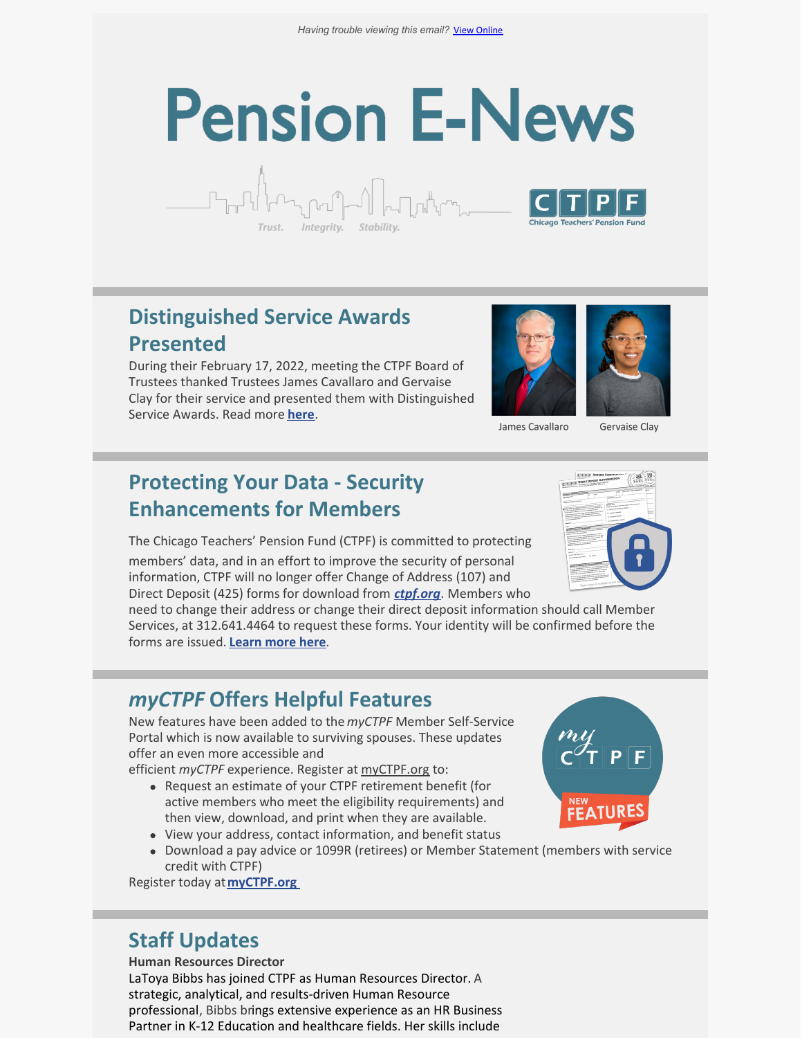# **Pension E-News**



ᡗ᠊ᢧ᠋᠇ᡗ<sup>ᢔ</sup>ᠯᢇᡪ*ᠾ*ᡆᡃᢔ᠆ᡗ

Integrity.

During their February 17, 2022, meeting the CTPF Board of Trustees thanked Trustees James Cavallaro and Gervaise Clay for their service and presented them with Distinguished Service Awards. Read more **[here](https://ctpf.org/news/ctpf-trustees-present-james-cavallaro-and-gervaise-clay-distinguished-service-awards)**.



James Cavallaro

**Gervaise Clay** 

# **Protecting Your Data - Security Enhancements for Members**

The Chicago Teachers' Pension Fund (CTPF) is committed to protecting

members' data, and in an effort to improve the security of personal information, CTPF will no longer offer Change of Address (107) and Direct Deposit (425) forms for download from *[ctpf.org](http://www.ctpf.org/)*. Members who

need to change their address or change their direct deposit information should call Member Services, at 312.641.4464 to request these forms. Your identity will be confirmed before the forms are issued. **[Learn](https://ctpf.org/news/protecting-your-data-security-enhancements-members) more here**.

# *myCTPF* **Offers Helpful Features**

New features have been added to the *myCTPF* Member Self-Service Portal which is now available to surviving spouses. These updates offer an even more accessible and

efficient *myCTPF* experience. Register at [myCTPF.org](http://myctpf.org) to:

- Request an estimate of your CTPF retirement benefit (for active members who meet the eligibility requirements) and then view, download, and print when they are available.
- View your address, contact information, and benefit status
- Download a pay advice or 1099R (retirees) or Member Statement (members with service credit with CTPF)

Register today a[t](https://ctpf.org/myctpf)**[myCTPF.org](http://myctpf.org)**

# **Staff Updates**

**Human Resources Director** LaToya Bibbs has joined CTPF as Human Resources Director. A strategic, analytical, and results-driven Human Resource professional, Bibbs brings extensive experience as an HR Business Partner in K-12 Education and healthcare fields. Her skills include



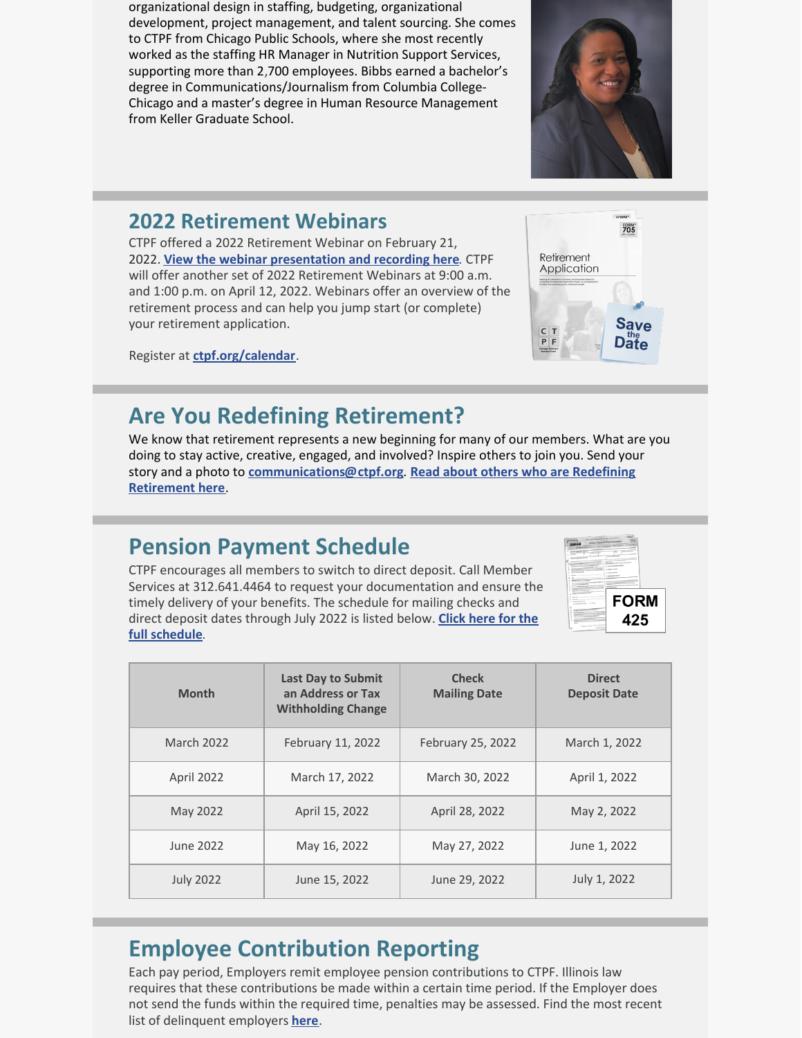organizational design in staffing, budgeting, organizational development, project management, and talent sourcing. She comes to CTPF from Chicago Public Schools, where she most recently worked as the staffing HR Manager in Nutrition Support Services, supporting more than 2,700 employees. Bibbs earned a bachelor's degree in Communications/Journalism from Columbia College-Chicago and a master's degree in Human Resource Management from Keller Graduate School.

# **2022 Retirement Webinars**

CTPF offered a 2022 Retirement Webinar on February 21, 2022. **[View the webinar presentation and recording here](https://ctpf.org/member-resources/active-members/retirement-resources)**. CTPF will offer another set of 2022 Retirement Webinars at 9:00 a.m. and 1:00 p.m. on April 12, 2022. Webinars offer an overview of the retirement process and can help you jump start (or complete) your retirement application.

Register at **[ctpf.org/calendar](https://ctpf.org/news-calendar/calendar)**.

# **Are You Redefining Retirement?**

We know that retirement represents a new beginning for many of our members. What are you doing to stay active, creative, engaged, and involved? Inspire others to join you. Send your story and a photo to **[communications@ctpf.org](mailto:communications@ctpf.org)**. **[Read about others who are Redefining](https://ctpf.org/news-calendar/newsfeed?tid=28) Retirement here**.

# **Pension Payment Schedule**

CTPF encourages all members to switch to direct deposit. Call Member Services at 312.641.4464 to request your documentation and ensure the timely delivery of your benefits. The schedule for mailing checks and [direct deposit dates through July 2022 is listed below.](https://www.ctpf.org/member-resources/retired-members/pension-payments) **Click here for the full schedule**.

| <b>Month</b>      | <b>Last Day to Submit</b><br>an Address or Tax<br><b>Withholding Change</b> | <b>Check</b><br><b>Mailing Date</b> | <b>Direct</b><br><b>Deposit Date</b> |
|-------------------|-----------------------------------------------------------------------------|-------------------------------------|--------------------------------------|
| <b>March 2022</b> | February 11, 2022                                                           | February 25, 2022                   | March 1, 2022                        |
| April 2022        | March 17, 2022                                                              | March 30, 2022                      | April 1, 2022                        |
| May 2022          | April 15, 2022                                                              | April 28, 2022                      | May 2, 2022                          |
| June 2022         | May 16, 2022                                                                | May 27, 2022                        | June 1, 2022                         |
| <b>July 2022</b>  | June 15, 2022                                                               | June 29, 2022                       | July 1, 2022                         |

# **Employee Contribution Reporting**

Each pay period, Employers remit employee pension contributions to CTPF. Illinois law requires that these contributions be made within a certain time period. If the Employer does not send the funds within the required time, penalties may be assessed. Find the most recent list of delinquent employers **[here](https://ctpf.org/employer-contribution-reporting)**.





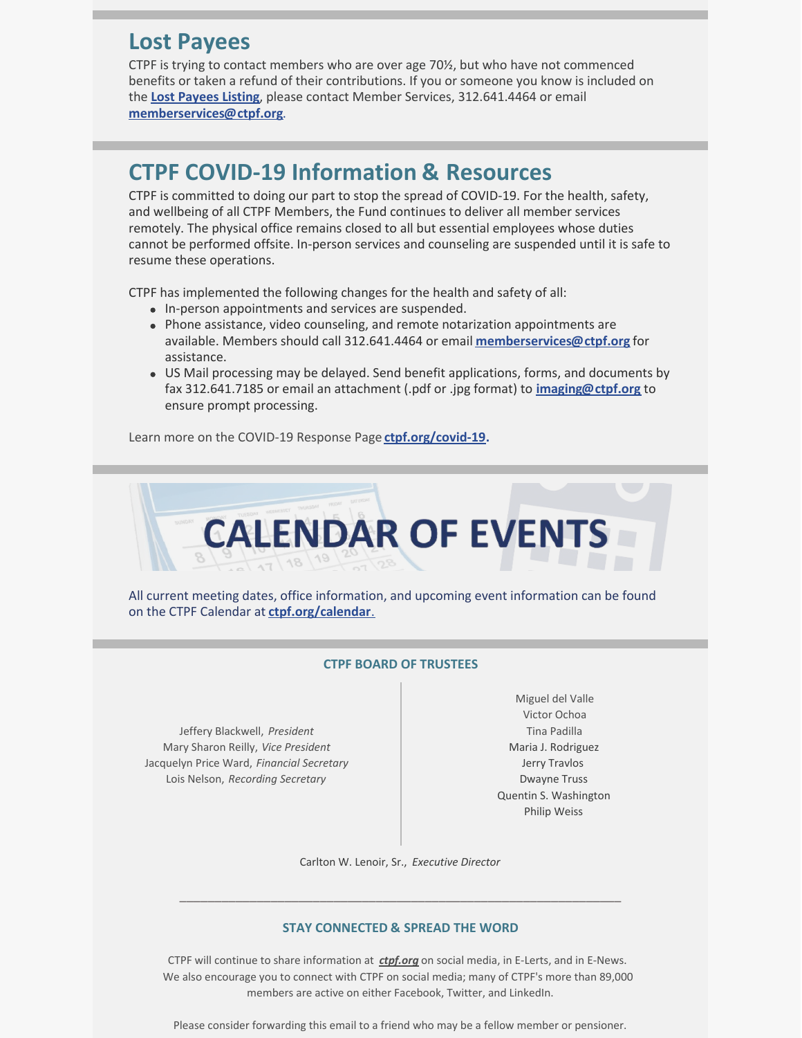# **Lost Payees**

CTPF is trying to contact members who are over age 70½, but who have not commenced benefits or taken a refund of their contributions. If you or someone you know is included on the **Lost [Payees](https://www.ctpf.org/sites/files/2020-10/lost_payees_last_school_worked_website_list_2.pdf) Listing**, please contact Member Services, 312.641.4464 or email **[memberservices@ctpf.org](mailto:memberservices@ctpf.org)**.

#### **CTPF COVID-19 Information & Resources**

CTPF is committed to doing our part to stop the spread of COVID-19. For the health, safety, and wellbeing of all CTPF Members, the Fund continues to deliver all member services remotely. The physical office remains closed to all but essential employees whose duties cannot be performed offsite. In-person services and counseling are suspended until it is safe to resume these operations.

CTPF has implemented the following changes for the health and safety of all:

- In-person appointments and services are suspended.
- Phone assistance, video counseling, and remote notarization appointments are available. Members should call 312.641.4464 or email **[memberservices@ctpf.org](mailto:memberservices@ctpf.org)** for assistance.
- US Mail processing may be delayed. Send benefit applications, forms, and documents by fax 312.641.7185 or email an attachment (.pdf or .jpg format) to **[imaging@ctpf.org](mailto:imaging@ctpf.org)** to ensure prompt processing.

Learn more on the COVID-19 Response Page **[ctpf.org/covid-19](https://ctpf.org/news-calendar/covid-19).**



All current meeting dates, office information, and upcoming event information can be found on the CTPF Calendar at **[ctpf.org/calendar](https://ctpf.org/news-calendar/calendar)**[.](https://ctpf.org/news-calendar/calendar)

#### **CTPF BOARD OF TRUSTEES**

Jeffery Blackwell, *President* Mary Sharon Reilly, *Vice President* Jacquelyn Price Ward, *Financial Secretary* Lois Nelson, *Recording Secretary*

Miguel del Valle Victor Ochoa Tina Padilla Maria J. Rodriguez Jerry Travlos Dwayne Truss Quentin S. Washington Philip Weiss

Carlton W. Lenoir, Sr., *Executive Director*

#### **STAY CONNECTED & SPREAD THE WORD**

\_\_\_\_\_\_\_\_\_\_\_\_\_\_\_\_\_\_\_\_\_\_\_\_\_\_\_\_\_\_\_\_\_\_\_\_\_\_\_\_\_\_\_\_\_\_\_\_\_\_\_\_\_\_\_\_\_\_\_\_\_\_\_

CTPF will continue to share information at *[ctpf.org](https://nam11.safelinks.protection.outlook.com/?url=http%3A%2F%2Fr20.rs6.net%2Ftn.jsp%3Ff%3D001Oq0TM6CVsKr16mBIJWQ5Txgxq1D0DQ71XepjiVhvp5Bdir-9OjtYv4LvxhiMPX2GMPhwQfjmGHSdxSfrYvZaxDcty5YgMIa2e4clI6Ts6waNsooyMHn65iLHXWPKwOOd30ezxEKSRSqFlYqdRQfouIjIJQZcg43n%26c%3DrrHtvthGwuyW-ZAKLc0ZJMgKnz-9DQ4rvOuN8tBf3R8ihnUal54aXQ%3D%3D%26ch%3DsUd1tqkBvQncZr6j3v8_KZ5FYGxfMqIG7_Uzp-Y8v0_abEJ6gyT9OQ%3D%3D&data=04%7C01%7Ckaisere%40ctpf.org%7Ca8d8058eb5784c1d00c408d97862b086%7Ca881b9a43fe041eb97266e31ebe4d79e%7C1%7C1%7C637673187538378334%7CUnknown%7CTWFpbGZsb3d8eyJWIjoiMC4wLjAwMDAiLCJQIjoiV2luMzIiLCJBTiI6Ik1haWwiLCJXVCI6Mn0%3D%7C2000&sdata=ZcVOMCBM0BfT2fvi6WFD2bOfU%2FDpDXFwLKqUbjlrJRI%3D&reserved=0)* on social media, in E-Lerts, and in E-News. We also encourage you to connect with CTPF on social media; many of CTPF's more than 89,000 members are active on either Facebook, Twitter, and LinkedIn.

Please consider forwarding this email to a friend who may be a fellow member or pensioner.